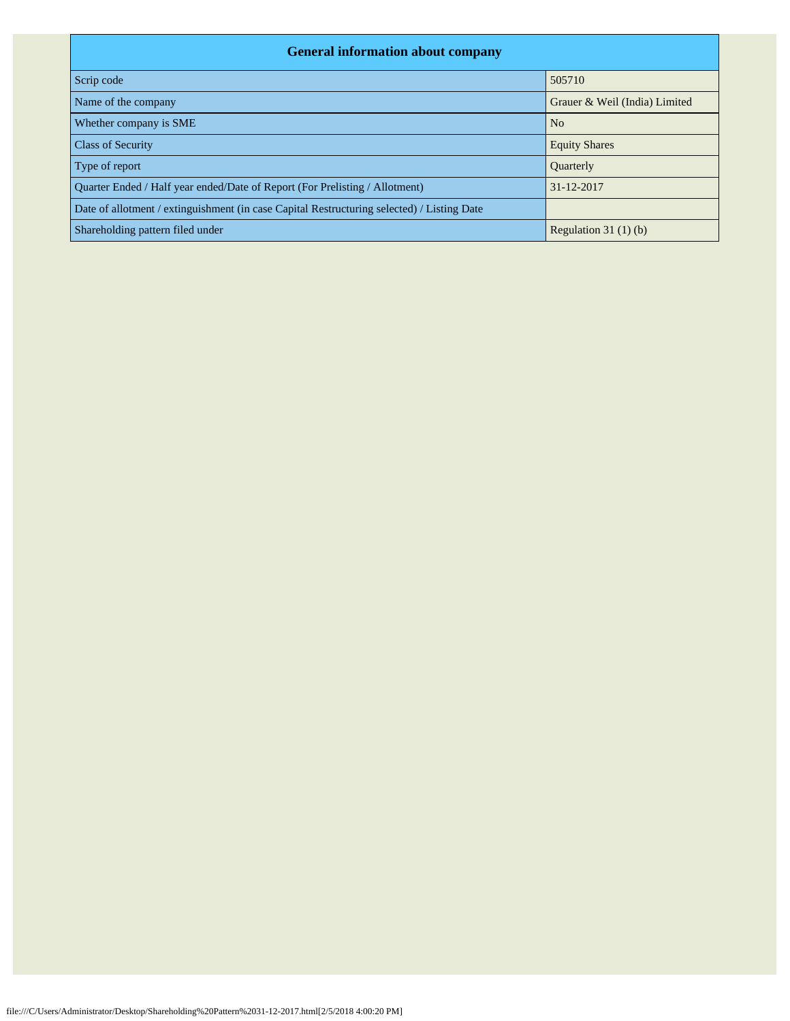| <b>General information about company</b>                                                   |                               |  |  |  |  |  |  |  |
|--------------------------------------------------------------------------------------------|-------------------------------|--|--|--|--|--|--|--|
| Scrip code                                                                                 | 505710                        |  |  |  |  |  |  |  |
| Name of the company                                                                        | Grauer & Weil (India) Limited |  |  |  |  |  |  |  |
| Whether company is SME                                                                     | N <sub>o</sub>                |  |  |  |  |  |  |  |
| <b>Class of Security</b>                                                                   | <b>Equity Shares</b>          |  |  |  |  |  |  |  |
| Type of report                                                                             | <b>Ouarterly</b>              |  |  |  |  |  |  |  |
| Ouarter Ended / Half year ended/Date of Report (For Prelisting / Allotment)                | 31-12-2017                    |  |  |  |  |  |  |  |
| Date of allotment / extinguishment (in case Capital Restructuring selected) / Listing Date |                               |  |  |  |  |  |  |  |
| Shareholding pattern filed under                                                           | Regulation $31(1)(b)$         |  |  |  |  |  |  |  |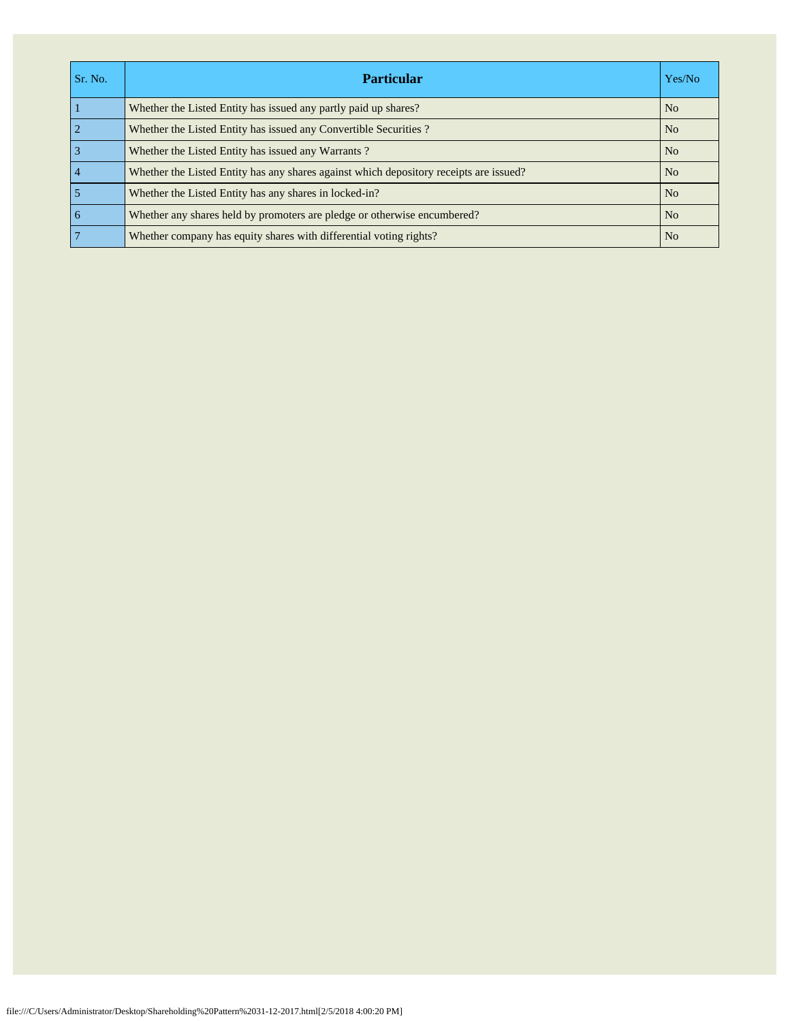| Sr. No.         | <b>Particular</b>                                                                      | Yes/No         |
|-----------------|----------------------------------------------------------------------------------------|----------------|
|                 | Whether the Listed Entity has issued any partly paid up shares?                        | N <sub>o</sub> |
| $\overline{2}$  | Whether the Listed Entity has issued any Convertible Securities?                       | N <sub>o</sub> |
| $\overline{3}$  | Whether the Listed Entity has issued any Warrants?                                     | N <sub>o</sub> |
| $\overline{4}$  | Whether the Listed Entity has any shares against which depository receipts are issued? | N <sub>o</sub> |
| 5               | Whether the Listed Entity has any shares in locked-in?                                 | N <sub>0</sub> |
| $\overline{6}$  | Whether any shares held by promoters are pledge or otherwise encumbered?               | N <sub>o</sub> |
| $7\phantom{.0}$ | Whether company has equity shares with differential voting rights?                     | N <sub>o</sub> |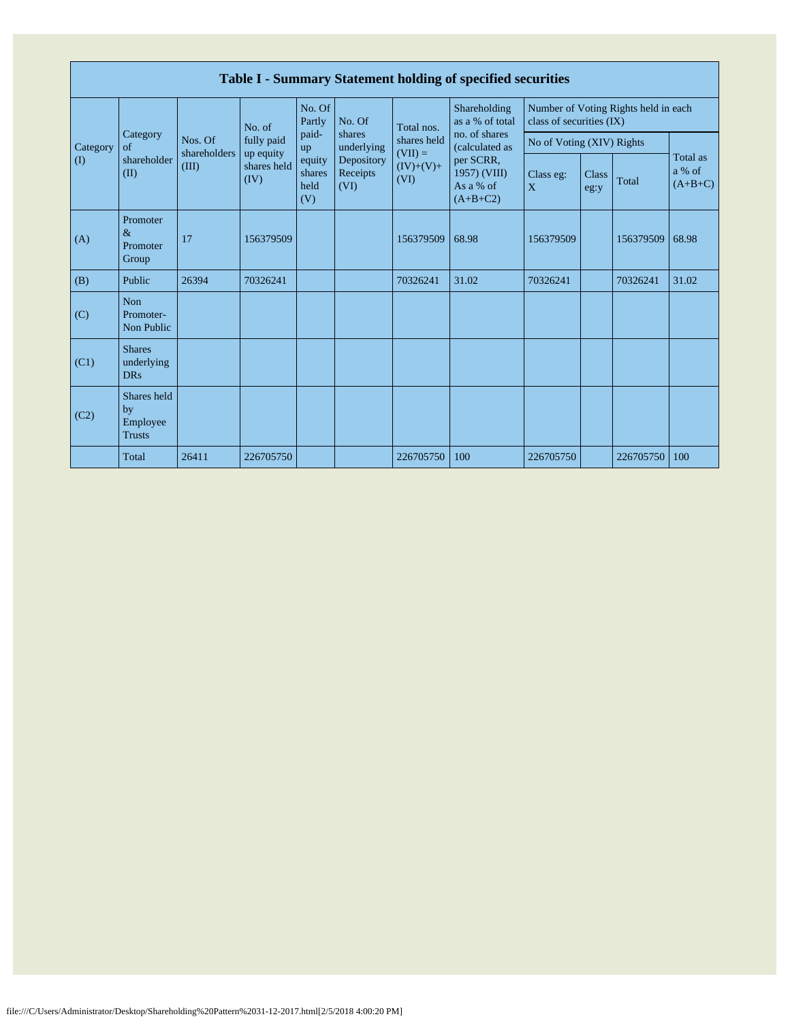|              | Table I - Summary Statement holding of specified securities |                       |                         |                                 |                                |                                  |                                                                                                                            |                                                                  |               |           |                                 |  |  |
|--------------|-------------------------------------------------------------|-----------------------|-------------------------|---------------------------------|--------------------------------|----------------------------------|----------------------------------------------------------------------------------------------------------------------------|------------------------------------------------------------------|---------------|-----------|---------------------------------|--|--|
|              |                                                             |                       | No. of                  | No. Of<br>Partly                | No. Of                         | Total nos.<br>shares held        | Shareholding<br>as a % of total<br>no. of shares<br>(calculated as<br>per SCRR,<br>1957) (VIII)<br>As a % of<br>$(A+B+C2)$ | Number of Voting Rights held in each<br>class of securities (IX) |               |           |                                 |  |  |
| Category     | Category<br>of                                              | Nos. Of               | fully paid<br>up equity | paid-<br>up                     | shares<br>underlying           |                                  |                                                                                                                            | No of Voting (XIV) Rights                                        |               |           |                                 |  |  |
| $\mathbf{I}$ | shareholder<br>(II)                                         | shareholders<br>(III) | shares held<br>(IV)     | equity<br>shares<br>held<br>(V) | Depository<br>Receipts<br>(VI) | $(VII) =$<br>$(IV)+(V)+$<br>(VI) |                                                                                                                            | Class eg:<br>X                                                   | Class<br>eg:y | Total     | Total as<br>a % of<br>$(A+B+C)$ |  |  |
| (A)          | Promoter<br>$\&$<br>Promoter<br>Group                       | 17                    | 156379509               |                                 |                                | 156379509                        | 68.98                                                                                                                      | 156379509                                                        |               | 156379509 | 68.98                           |  |  |
| (B)          | Public                                                      | 26394                 | 70326241                |                                 |                                | 70326241                         | 31.02                                                                                                                      | 70326241                                                         |               | 70326241  | 31.02                           |  |  |
| (C)          | <b>Non</b><br>Promoter-<br>Non Public                       |                       |                         |                                 |                                |                                  |                                                                                                                            |                                                                  |               |           |                                 |  |  |
| (C1)         | <b>Shares</b><br>underlying<br><b>DRs</b>                   |                       |                         |                                 |                                |                                  |                                                                                                                            |                                                                  |               |           |                                 |  |  |
| (C2)         | Shares held<br>by<br>Employee<br><b>Trusts</b>              |                       |                         |                                 |                                |                                  |                                                                                                                            |                                                                  |               |           |                                 |  |  |
|              | Total                                                       | 26411                 | 226705750               |                                 |                                | 226705750                        | 100                                                                                                                        | 226705750                                                        |               | 226705750 | 100                             |  |  |

Г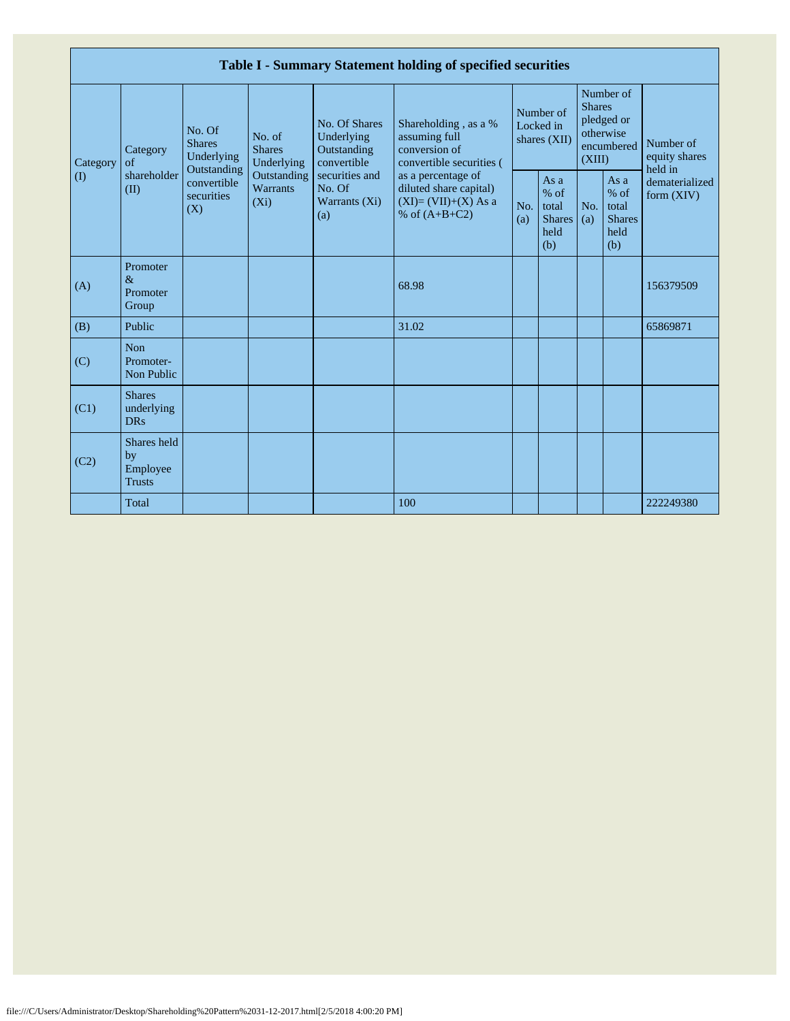|                         |                                                |                                                                                                                                |                                |                                                                                                               | Table I - Summary Statement holding of specified securities                              |                                        |                                                         |                                                                               |                                                       |                                       |
|-------------------------|------------------------------------------------|--------------------------------------------------------------------------------------------------------------------------------|--------------------------------|---------------------------------------------------------------------------------------------------------------|------------------------------------------------------------------------------------------|----------------------------------------|---------------------------------------------------------|-------------------------------------------------------------------------------|-------------------------------------------------------|---------------------------------------|
| Category<br>$($ $($ $)$ | Category<br>of<br>shareholder<br>(II)          | No. Of<br>No. of<br><b>Shares</b><br><b>Shares</b><br>Underlying<br>Outstanding<br>convertible<br>securities<br>$(X_i)$<br>(X) | Underlying                     | No. Of Shares<br>Underlying<br>Outstanding<br>convertible<br>securities and<br>No. Of<br>Warrants (Xi)<br>(a) | Shareholding, as a %<br>assuming full<br>conversion of<br>convertible securities (       | Number of<br>Locked in<br>shares (XII) |                                                         | Number of<br><b>Shares</b><br>pledged or<br>otherwise<br>encumbered<br>(XIII) |                                                       | Number of<br>equity shares<br>held in |
|                         |                                                |                                                                                                                                | Outstanding<br><b>Warrants</b> |                                                                                                               | as a percentage of<br>diluted share capital)<br>$(XI)=(VII)+(X) As a$<br>% of $(A+B+C2)$ | No.<br>(a)                             | As a<br>$%$ of<br>total<br><b>Shares</b><br>held<br>(b) | No.<br>(a)                                                                    | As a<br>% of<br>total<br><b>Shares</b><br>held<br>(b) | dematerialized<br>form $(XIV)$        |
| (A)                     | Promoter<br>$\&$<br>Promoter<br>Group          |                                                                                                                                |                                |                                                                                                               | 68.98                                                                                    |                                        |                                                         |                                                                               |                                                       | 156379509                             |
| (B)                     | Public                                         |                                                                                                                                |                                |                                                                                                               | 31.02                                                                                    |                                        |                                                         |                                                                               |                                                       | 65869871                              |
| (C)                     | <b>Non</b><br>Promoter-<br>Non Public          |                                                                                                                                |                                |                                                                                                               |                                                                                          |                                        |                                                         |                                                                               |                                                       |                                       |
| (C1)                    | <b>Shares</b><br>underlying<br><b>DRs</b>      |                                                                                                                                |                                |                                                                                                               |                                                                                          |                                        |                                                         |                                                                               |                                                       |                                       |
| (C2)                    | Shares held<br>by<br>Employee<br><b>Trusts</b> |                                                                                                                                |                                |                                                                                                               |                                                                                          |                                        |                                                         |                                                                               |                                                       |                                       |
|                         | Total                                          |                                                                                                                                |                                |                                                                                                               | 100                                                                                      |                                        |                                                         |                                                                               |                                                       | 222249380                             |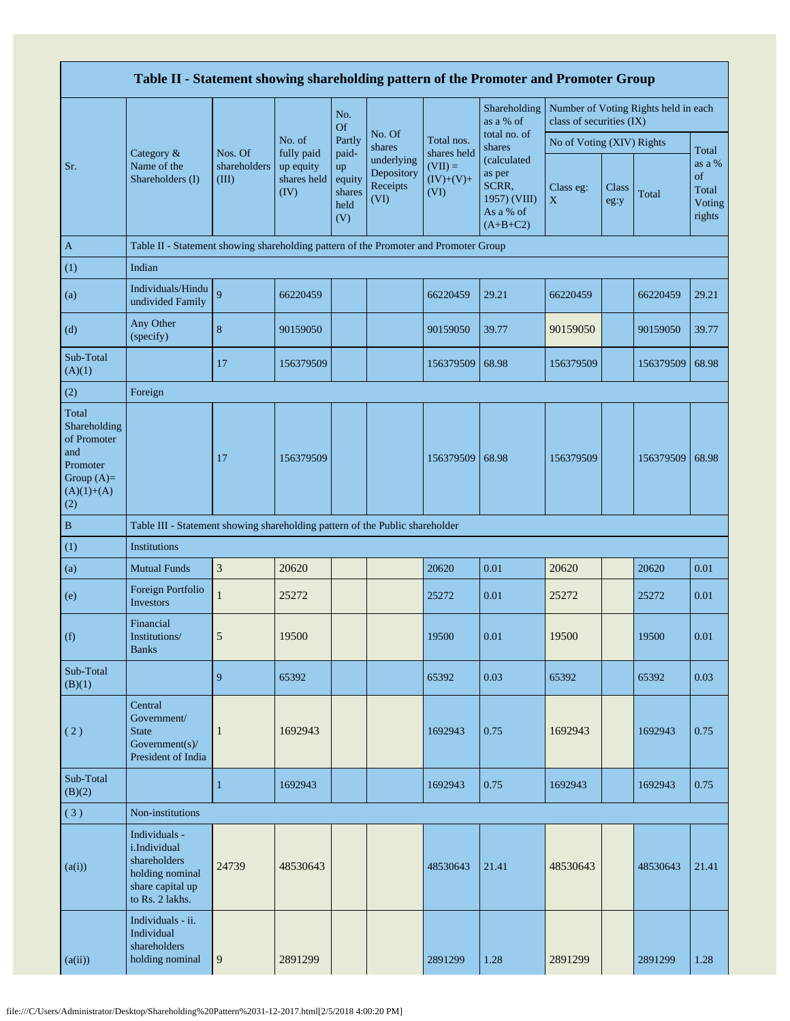|                                                                                                | Table II - Statement showing shareholding pattern of the Promoter and Promoter Group                    |                                  |                                                          |                                                          |                                                                  |                                                 |                                                                                                     |                           |               |                                      |                                           |
|------------------------------------------------------------------------------------------------|---------------------------------------------------------------------------------------------------------|----------------------------------|----------------------------------------------------------|----------------------------------------------------------|------------------------------------------------------------------|-------------------------------------------------|-----------------------------------------------------------------------------------------------------|---------------------------|---------------|--------------------------------------|-------------------------------------------|
|                                                                                                |                                                                                                         |                                  |                                                          | No.<br>Of                                                |                                                                  |                                                 | Shareholding<br>as a % of                                                                           | class of securities (IX)  |               | Number of Voting Rights held in each |                                           |
|                                                                                                |                                                                                                         |                                  | No. of<br>fully paid<br>up equity<br>shares held<br>(IV) | Partly<br>paid-<br>up<br>equity<br>shares<br>held<br>(V) | No. Of<br>shares<br>underlying<br>Depository<br>Receipts<br>(VI) | Total nos.                                      | total no. of<br>shares<br>(calculated<br>as per<br>SCRR,<br>1957) (VIII)<br>As a % of<br>$(A+B+C2)$ | No of Voting (XIV) Rights |               |                                      | Total                                     |
| Sr.                                                                                            | Category &<br>Name of the<br>Shareholders (I)                                                           | Nos. Of<br>shareholders<br>(III) |                                                          |                                                          |                                                                  | shares held<br>$(VII) =$<br>$(IV)+(V)+$<br>(VI) |                                                                                                     | Class eg:<br>$\mathbf X$  | Class<br>eg:y | Total                                | as a %<br>of<br>Total<br>Voting<br>rights |
| $\mathbf{A}$                                                                                   | Table II - Statement showing shareholding pattern of the Promoter and Promoter Group                    |                                  |                                                          |                                                          |                                                                  |                                                 |                                                                                                     |                           |               |                                      |                                           |
| (1)                                                                                            | Indian                                                                                                  |                                  |                                                          |                                                          |                                                                  |                                                 |                                                                                                     |                           |               |                                      |                                           |
| (a)                                                                                            | Individuals/Hindu<br>undivided Family                                                                   | 9                                | 66220459                                                 |                                                          |                                                                  | 66220459                                        | 29.21                                                                                               | 66220459                  |               | 66220459                             | 29.21                                     |
| (d)                                                                                            | Any Other<br>(specify)                                                                                  | $\bf 8$                          | 90159050                                                 |                                                          |                                                                  | 90159050                                        | 39.77                                                                                               | 90159050                  |               | 90159050                             | 39.77                                     |
| Sub-Total<br>(A)(1)                                                                            |                                                                                                         | 17                               | 156379509                                                |                                                          |                                                                  | 156379509                                       | 68.98                                                                                               | 156379509                 |               | 156379509                            | 68.98                                     |
| (2)                                                                                            | Foreign                                                                                                 |                                  |                                                          |                                                          |                                                                  |                                                 |                                                                                                     |                           |               |                                      |                                           |
| Total<br>Shareholding<br>of Promoter<br>and<br>Promoter<br>Group $(A)=$<br>$(A)(1)+(A)$<br>(2) |                                                                                                         | 17                               | 156379509                                                |                                                          |                                                                  | 156379509                                       | 68.98                                                                                               | 156379509                 |               | 156379509                            | 68.98                                     |
| $\, {\bf B}$                                                                                   | Table III - Statement showing shareholding pattern of the Public shareholder                            |                                  |                                                          |                                                          |                                                                  |                                                 |                                                                                                     |                           |               |                                      |                                           |
| (1)                                                                                            | <b>Institutions</b>                                                                                     |                                  |                                                          |                                                          |                                                                  |                                                 |                                                                                                     |                           |               |                                      |                                           |
| (a)                                                                                            | <b>Mutual Funds</b>                                                                                     | $\sqrt{3}$                       | 20620                                                    |                                                          |                                                                  | 20620                                           | 0.01                                                                                                | 20620                     |               | 20620                                | 0.01                                      |
| (e)                                                                                            | Foreign Portfolio<br>Investors                                                                          | $\mathbf{1}$                     | 25272                                                    |                                                          |                                                                  | 25272                                           | 0.01                                                                                                | 25272                     |               | 25272                                | 0.01                                      |
| (f)                                                                                            | Financial<br>Institutions/<br><b>Banks</b>                                                              | 5                                | 19500                                                    |                                                          |                                                                  | 19500                                           | 0.01                                                                                                | 19500                     |               | 19500                                | 0.01                                      |
| Sub-Total<br>(B)(1)                                                                            |                                                                                                         | 9                                | 65392                                                    |                                                          |                                                                  | 65392                                           | 0.03                                                                                                | 65392                     |               | 65392                                | 0.03                                      |
| (2)                                                                                            | Central<br>Government/<br><b>State</b><br>Government(s)/<br>President of India                          | $\mathbf{1}$                     | 1692943                                                  |                                                          |                                                                  | 1692943                                         | 0.75                                                                                                | 1692943                   |               | 1692943                              | 0.75                                      |
| Sub-Total<br>(B)(2)                                                                            |                                                                                                         | $\mathbf{1}$                     | 1692943                                                  |                                                          |                                                                  | 1692943                                         | 0.75                                                                                                | 1692943                   |               | 1692943                              | 0.75                                      |
| (3)                                                                                            | Non-institutions                                                                                        |                                  |                                                          |                                                          |                                                                  |                                                 |                                                                                                     |                           |               |                                      |                                           |
| (a(i))                                                                                         | Individuals -<br>i.Individual<br>shareholders<br>holding nominal<br>share capital up<br>to Rs. 2 lakhs. | 24739                            | 48530643                                                 |                                                          |                                                                  | 48530643                                        | 21.41                                                                                               | 48530643                  |               | 48530643                             | 21.41                                     |
| (a(ii))                                                                                        | Individuals - ii.<br>Individual<br>shareholders<br>holding nominal                                      | 9                                | 2891299                                                  |                                                          |                                                                  | 2891299                                         | 1.28                                                                                                | 2891299                   |               | 2891299                              | 1.28                                      |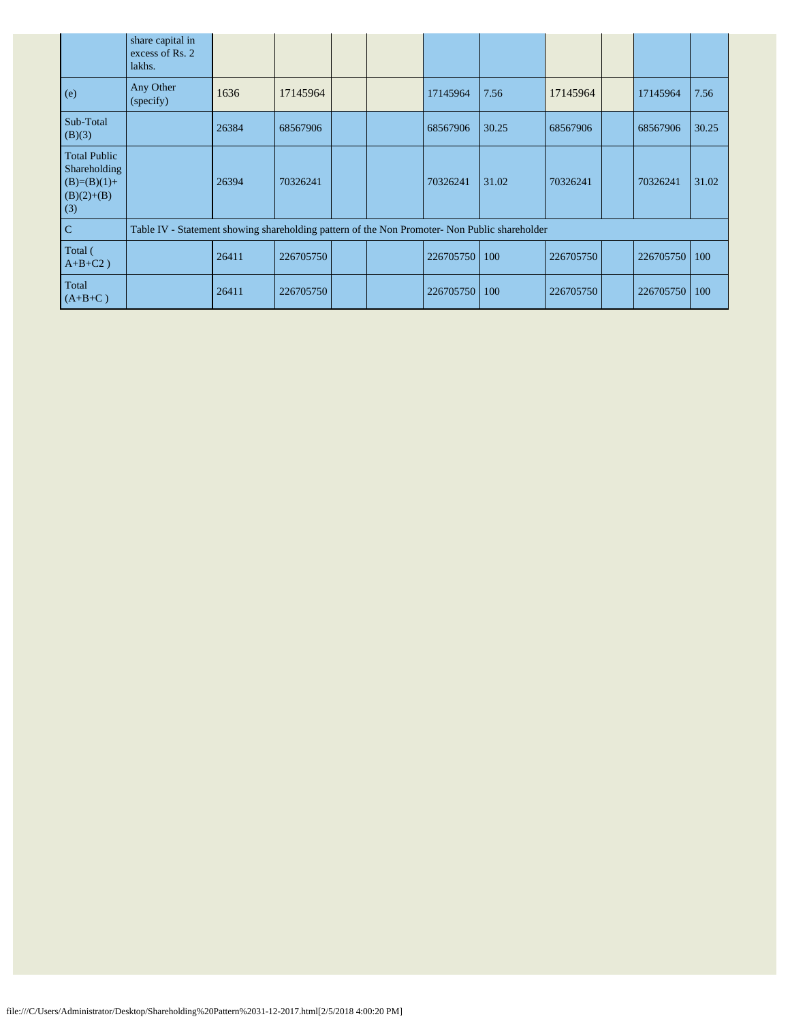|                                                                             | share capital in<br>excess of Rs. 2<br>lakhs.                                                 |       |           |  |           |       |           |                 |       |
|-----------------------------------------------------------------------------|-----------------------------------------------------------------------------------------------|-------|-----------|--|-----------|-------|-----------|-----------------|-------|
| (e)                                                                         | Any Other<br>(specify)                                                                        | 1636  | 17145964  |  | 17145964  | 7.56  | 17145964  | 17145964        | 7.56  |
| Sub-Total<br>(B)(3)                                                         |                                                                                               | 26384 | 68567906  |  | 68567906  | 30.25 | 68567906  | 68567906        | 30.25 |
| <b>Total Public</b><br>Shareholding<br>$(B)=(B)(1)+$<br>$(B)(2)+(B)$<br>(3) |                                                                                               | 26394 | 70326241  |  | 70326241  | 31.02 | 70326241  | 70326241        | 31.02 |
| $\overline{C}$                                                              | Table IV - Statement showing shareholding pattern of the Non Promoter- Non Public shareholder |       |           |  |           |       |           |                 |       |
| Total (<br>$A+B+C2$ )                                                       |                                                                                               | 26411 | 226705750 |  | 226705750 | 100   | 226705750 | 226705750       | 100   |
| Total<br>$(A+B+C)$                                                          |                                                                                               | 26411 | 226705750 |  | 226705750 | 100   | 226705750 | 226705750   100 |       |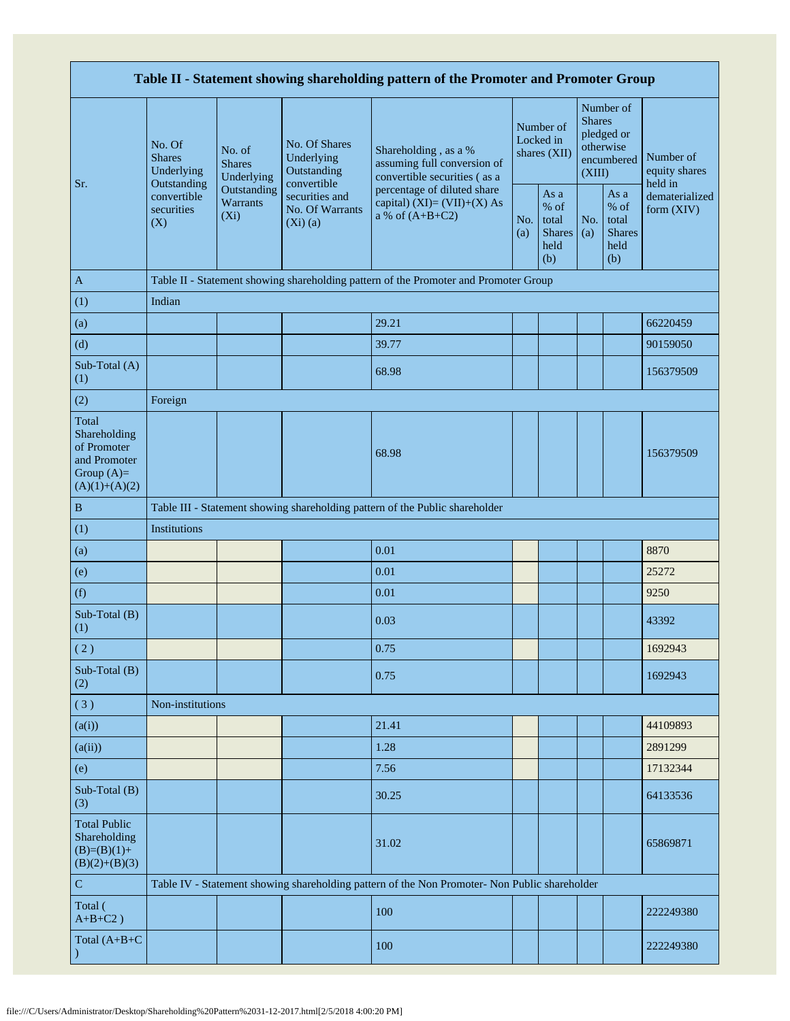| Table II - Statement showing shareholding pattern of the Promoter and Promoter Group    |                                                      |                                       |                                                           |                                                                                                                                                                         |  |                                                         |                         |                                                         |                                       |  |  |
|-----------------------------------------------------------------------------------------|------------------------------------------------------|---------------------------------------|-----------------------------------------------------------|-------------------------------------------------------------------------------------------------------------------------------------------------------------------------|--|---------------------------------------------------------|-------------------------|---------------------------------------------------------|---------------------------------------|--|--|
| Sr.                                                                                     | No. Of<br><b>Shares</b><br>Underlying<br>Outstanding | No. of<br><b>Shares</b><br>Underlying | No. Of Shares<br>Underlying<br>Outstanding<br>convertible | Shareholding, as a %<br>assuming full conversion of<br>convertible securities (as a<br>percentage of diluted share<br>capital) $(XI)=(VII)+(X) As$<br>a % of $(A+B+C2)$ |  | Number of<br>Locked in<br>shares (XII)                  | <b>Shares</b><br>(XIII) | Number of<br>pledged or<br>otherwise<br>encumbered      | Number of<br>equity shares<br>held in |  |  |
|                                                                                         | convertible<br>securities<br>(X)                     | Outstanding<br>Warrants<br>$(X_i)$    | securities and<br>No. Of Warrants<br>$(Xi)$ (a)           |                                                                                                                                                                         |  | As a<br>$%$ of<br>total<br><b>Shares</b><br>held<br>(b) | No.<br>(a)              | As a<br>$%$ of<br>total<br><b>Shares</b><br>held<br>(b) | dematerialized<br>form $(XIV)$        |  |  |
| $\mathbf{A}$                                                                            |                                                      |                                       |                                                           | Table II - Statement showing shareholding pattern of the Promoter and Promoter Group                                                                                    |  |                                                         |                         |                                                         |                                       |  |  |
| (1)                                                                                     | Indian                                               |                                       |                                                           |                                                                                                                                                                         |  |                                                         |                         |                                                         |                                       |  |  |
| (a)                                                                                     |                                                      |                                       |                                                           | 29.21                                                                                                                                                                   |  |                                                         |                         |                                                         | 66220459                              |  |  |
| (d)                                                                                     |                                                      |                                       |                                                           | 39.77                                                                                                                                                                   |  |                                                         |                         |                                                         | 90159050                              |  |  |
| Sub-Total (A)<br>(1)                                                                    |                                                      |                                       |                                                           | 68.98                                                                                                                                                                   |  |                                                         |                         |                                                         | 156379509                             |  |  |
| (2)                                                                                     | Foreign                                              |                                       |                                                           |                                                                                                                                                                         |  |                                                         |                         |                                                         |                                       |  |  |
| Total<br>Shareholding<br>of Promoter<br>and Promoter<br>Group $(A)=$<br>$(A)(1)+(A)(2)$ |                                                      |                                       |                                                           | 68.98                                                                                                                                                                   |  |                                                         |                         |                                                         | 156379509                             |  |  |
| $\, {\bf B}$                                                                            |                                                      |                                       |                                                           | Table III - Statement showing shareholding pattern of the Public shareholder                                                                                            |  |                                                         |                         |                                                         |                                       |  |  |
| (1)                                                                                     | Institutions                                         |                                       |                                                           |                                                                                                                                                                         |  |                                                         |                         |                                                         |                                       |  |  |
| (a)                                                                                     |                                                      |                                       |                                                           | 0.01                                                                                                                                                                    |  |                                                         |                         |                                                         | 8870                                  |  |  |
| (e)                                                                                     |                                                      |                                       |                                                           | 0.01                                                                                                                                                                    |  |                                                         |                         |                                                         | 25272                                 |  |  |
| (f)                                                                                     |                                                      |                                       |                                                           | 0.01                                                                                                                                                                    |  |                                                         |                         |                                                         | 9250                                  |  |  |
| Sub-Total (B)<br>(1)                                                                    |                                                      |                                       |                                                           | 0.03                                                                                                                                                                    |  |                                                         |                         |                                                         | 43392                                 |  |  |
| (2)                                                                                     |                                                      |                                       |                                                           | 0.75                                                                                                                                                                    |  |                                                         |                         |                                                         | 1692943                               |  |  |
| Sub-Total (B)<br>(2)                                                                    |                                                      |                                       |                                                           | 0.75                                                                                                                                                                    |  |                                                         |                         |                                                         | 1692943                               |  |  |
| (3)                                                                                     | Non-institutions                                     |                                       |                                                           |                                                                                                                                                                         |  |                                                         |                         |                                                         |                                       |  |  |
| (a(i))                                                                                  |                                                      |                                       |                                                           | 21.41                                                                                                                                                                   |  |                                                         |                         |                                                         | 44109893                              |  |  |
| (a(ii))                                                                                 |                                                      |                                       |                                                           | 1.28                                                                                                                                                                    |  |                                                         |                         |                                                         | 2891299                               |  |  |
| (e)                                                                                     |                                                      |                                       |                                                           | 7.56                                                                                                                                                                    |  |                                                         |                         |                                                         | 17132344                              |  |  |
| Sub-Total (B)<br>(3)                                                                    |                                                      |                                       |                                                           | 30.25                                                                                                                                                                   |  |                                                         |                         |                                                         | 64133536                              |  |  |
| <b>Total Public</b><br>Shareholding<br>$(B)=(B)(1)+$<br>$(B)(2)+(B)(3)$                 |                                                      |                                       |                                                           | 31.02                                                                                                                                                                   |  |                                                         |                         |                                                         | 65869871                              |  |  |
| $\mathbf C$                                                                             |                                                      |                                       |                                                           | Table IV - Statement showing shareholding pattern of the Non Promoter- Non Public shareholder                                                                           |  |                                                         |                         |                                                         |                                       |  |  |
| Total (<br>$A+B+C2$ )                                                                   |                                                      |                                       |                                                           | 100                                                                                                                                                                     |  |                                                         |                         |                                                         | 222249380                             |  |  |
| Total $(A+B+C)$                                                                         |                                                      |                                       |                                                           | 100                                                                                                                                                                     |  |                                                         |                         |                                                         | 222249380                             |  |  |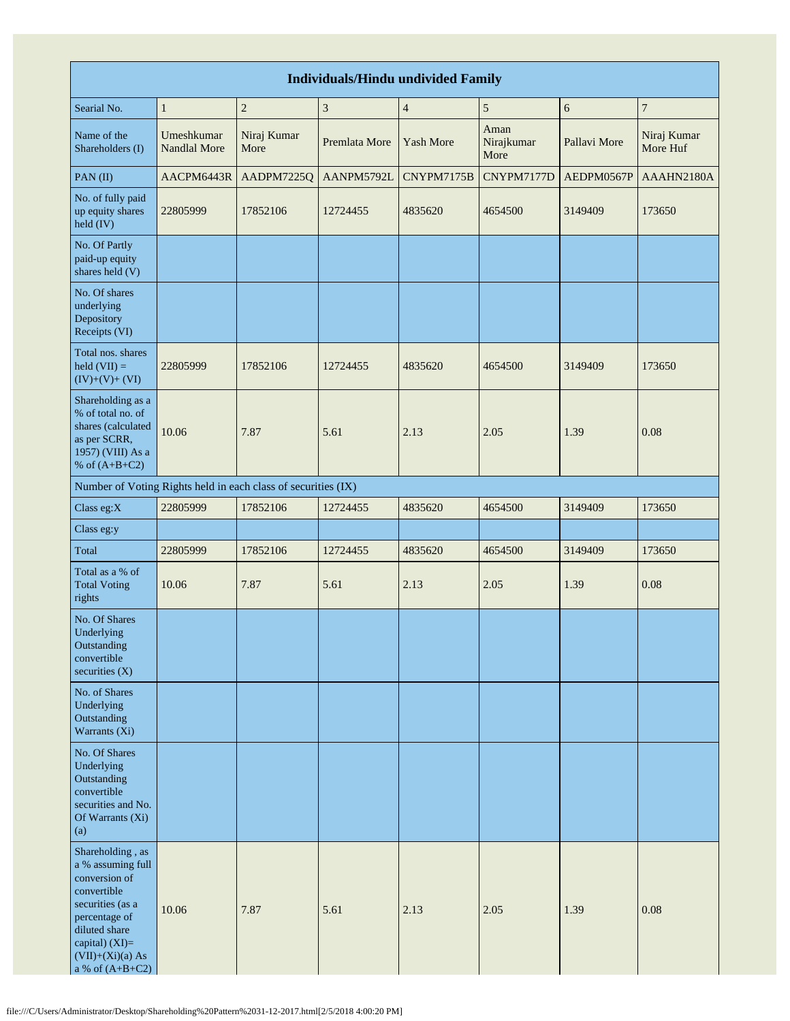| <b>Individuals/Hindu undivided Family</b>                                                                                                                                                  |                            |                     |                             |                  |                            |              |                         |  |  |  |  |
|--------------------------------------------------------------------------------------------------------------------------------------------------------------------------------------------|----------------------------|---------------------|-----------------------------|------------------|----------------------------|--------------|-------------------------|--|--|--|--|
| Searial No.                                                                                                                                                                                | $\mathbf{1}$               | $\overline{2}$      | $\ensuremath{\mathfrak{Z}}$ | $\overline{4}$   | $\sqrt{5}$                 | 6            | $\overline{7}$          |  |  |  |  |
| Name of the<br>Shareholders (I)                                                                                                                                                            | Umeshkumar<br>Nandlal More | Niraj Kumar<br>More | Premlata More               | <b>Yash More</b> | Aman<br>Nirajkumar<br>More | Pallavi More | Niraj Kumar<br>More Huf |  |  |  |  |
| PAN(II)                                                                                                                                                                                    | AACPM6443R                 | AADPM7225Q          | AANPM5792L                  | CNYPM7175B       | CNYPM7177D                 | AEDPM0567P   | AAAHN2180A              |  |  |  |  |
| No. of fully paid<br>up equity shares<br>held (IV)                                                                                                                                         | 22805999                   | 17852106            | 12724455                    | 4835620          | 4654500                    | 3149409      | 173650                  |  |  |  |  |
| No. Of Partly<br>paid-up equity<br>shares held (V)                                                                                                                                         |                            |                     |                             |                  |                            |              |                         |  |  |  |  |
| No. Of shares<br>underlying<br>Depository<br>Receipts (VI)                                                                                                                                 |                            |                     |                             |                  |                            |              |                         |  |  |  |  |
| Total nos. shares<br>$\text{held} (\text{VII}) =$<br>$(IV)+(V)+(VI)$                                                                                                                       | 22805999                   | 17852106            | 12724455                    | 4835620          | 4654500                    | 3149409      | 173650                  |  |  |  |  |
| Shareholding as a<br>% of total no. of<br>shares (calculated<br>as per SCRR,<br>1957) (VIII) As a<br>% of $(A+B+C2)$                                                                       | 10.06                      | 7.87                | 5.61                        | 2.13             | 2.05                       | 1.39         | 0.08                    |  |  |  |  |
| Number of Voting Rights held in each class of securities (IX)                                                                                                                              |                            |                     |                             |                  |                            |              |                         |  |  |  |  |
| Class eg:X                                                                                                                                                                                 | 22805999                   | 17852106            | 12724455                    | 4835620          | 4654500                    | 3149409      | 173650                  |  |  |  |  |
| Class eg:y                                                                                                                                                                                 |                            |                     |                             |                  |                            |              |                         |  |  |  |  |
| Total                                                                                                                                                                                      | 22805999                   | 17852106            | 12724455                    | 4835620          | 4654500                    | 3149409      | 173650                  |  |  |  |  |
| Total as a % of<br><b>Total Voting</b><br>rights                                                                                                                                           | 10.06                      | 7.87                | 5.61                        | 2.13             | 2.05                       | 1.39         | 0.08                    |  |  |  |  |
| No. Of Shares<br>Underlying<br>Outstanding<br>convertible<br>securities $(X)$                                                                                                              |                            |                     |                             |                  |                            |              |                         |  |  |  |  |
| No. of Shares<br>Underlying<br>Outstanding<br>Warrants $(X_i)$                                                                                                                             |                            |                     |                             |                  |                            |              |                         |  |  |  |  |
| No. Of Shares<br>Underlying<br>Outstanding<br>convertible<br>securities and No.<br>Of Warrants (Xi)<br>(a)                                                                                 |                            |                     |                             |                  |                            |              |                         |  |  |  |  |
| Shareholding, as<br>a % assuming full<br>conversion of<br>convertible<br>securities (as a<br>percentage of<br>diluted share<br>capital) $(XI)=$<br>$(VII)+(Xi)(a) As$<br>a % of $(A+B+C2)$ | 10.06                      | 7.87                | 5.61                        | 2.13             | 2.05                       | 1.39         | 0.08                    |  |  |  |  |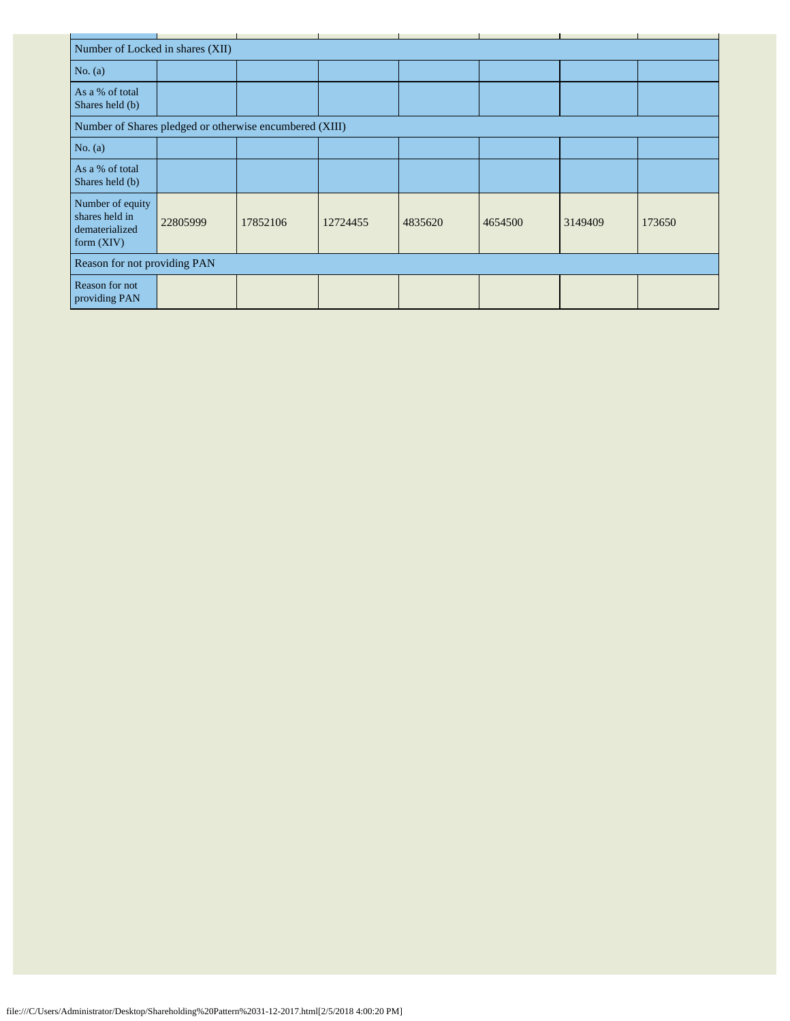|                                                                      | Number of Locked in shares (XII)                        |          |          |         |         |         |        |  |  |  |  |  |
|----------------------------------------------------------------------|---------------------------------------------------------|----------|----------|---------|---------|---------|--------|--|--|--|--|--|
| No. $(a)$                                                            |                                                         |          |          |         |         |         |        |  |  |  |  |  |
| As a % of total<br>Shares held (b)                                   |                                                         |          |          |         |         |         |        |  |  |  |  |  |
|                                                                      | Number of Shares pledged or otherwise encumbered (XIII) |          |          |         |         |         |        |  |  |  |  |  |
| No. $(a)$                                                            |                                                         |          |          |         |         |         |        |  |  |  |  |  |
| As a % of total<br>Shares held (b)                                   |                                                         |          |          |         |         |         |        |  |  |  |  |  |
| Number of equity<br>shares held in<br>dematerialized<br>form $(XIV)$ | 22805999                                                | 17852106 | 12724455 | 4835620 | 4654500 | 3149409 | 173650 |  |  |  |  |  |
| Reason for not providing PAN                                         |                                                         |          |          |         |         |         |        |  |  |  |  |  |
| Reason for not<br>providing PAN                                      |                                                         |          |          |         |         |         |        |  |  |  |  |  |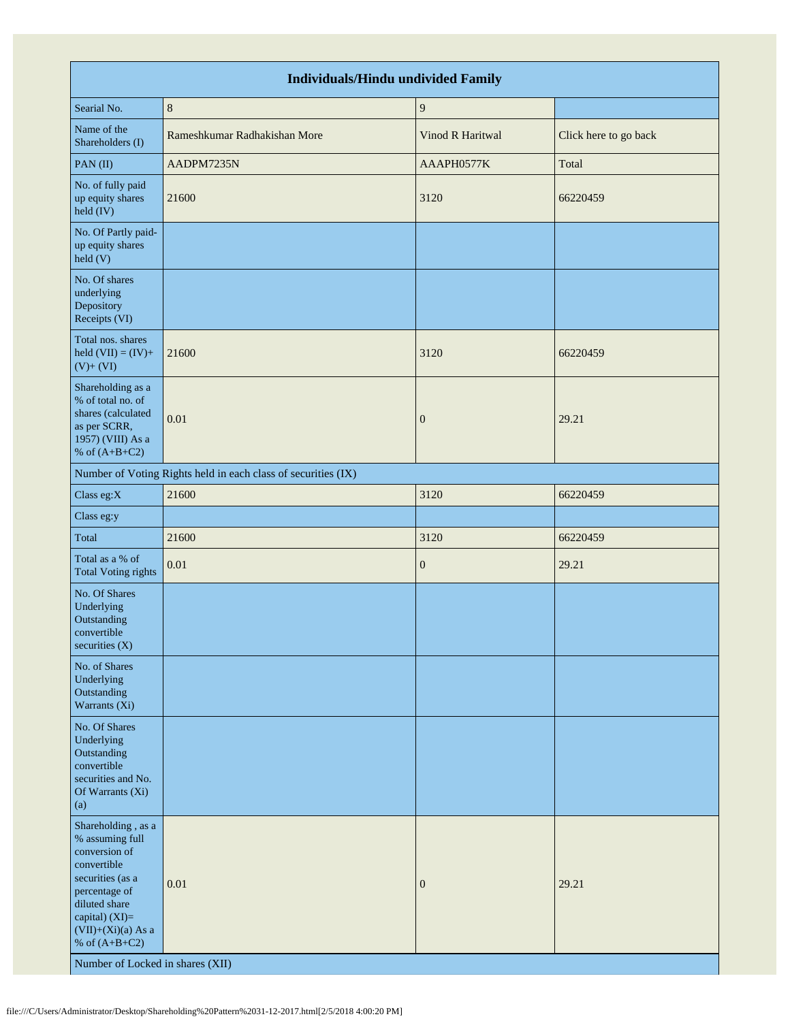|                                                                                                                                                                                                                              | <b>Individuals/Hindu undivided Family</b>                     |                  |                       |
|------------------------------------------------------------------------------------------------------------------------------------------------------------------------------------------------------------------------------|---------------------------------------------------------------|------------------|-----------------------|
| Searial No.                                                                                                                                                                                                                  | $\,8\,$                                                       | 9                |                       |
| Name of the<br>Shareholders (I)                                                                                                                                                                                              | Rameshkumar Radhakishan More                                  | Vinod R Haritwal | Click here to go back |
| PAN(II)                                                                                                                                                                                                                      | AADPM7235N                                                    | AAAPH0577K       | Total                 |
| No. of fully paid<br>up equity shares<br>held (IV)                                                                                                                                                                           | 21600                                                         | 3120             | 66220459              |
| No. Of Partly paid-<br>up equity shares<br>held (V)                                                                                                                                                                          |                                                               |                  |                       |
| No. Of shares<br>underlying<br>Depository<br>Receipts (VI)                                                                                                                                                                   |                                                               |                  |                       |
| Total nos. shares<br>held $(VII) = (IV) +$<br>$(V)+(VI)$                                                                                                                                                                     | 21600                                                         | 3120             | 66220459              |
| Shareholding as a<br>% of total no. of<br>shares (calculated<br>as per SCRR,<br>1957) (VIII) As a<br>% of $(A+B+C2)$                                                                                                         | 0.01                                                          | $\mathbf{0}$     | 29.21                 |
|                                                                                                                                                                                                                              | Number of Voting Rights held in each class of securities (IX) |                  |                       |
| Class eg:X                                                                                                                                                                                                                   | 21600                                                         | 3120             | 66220459              |
| Class eg:y                                                                                                                                                                                                                   |                                                               |                  |                       |
| Total                                                                                                                                                                                                                        | 21600                                                         | 3120             | 66220459              |
| Total as a % of<br><b>Total Voting rights</b>                                                                                                                                                                                | 0.01                                                          | $\boldsymbol{0}$ | 29.21                 |
| No. Of Shares<br>Underlying<br>Outstanding<br>convertible<br>securities (X)                                                                                                                                                  |                                                               |                  |                       |
| No. of Shares<br>Underlying<br>Outstanding<br>Warrants (Xi)                                                                                                                                                                  |                                                               |                  |                       |
| No. Of Shares<br>Underlying<br>Outstanding<br>convertible<br>securities and No.<br>Of Warrants (Xi)<br>(a)                                                                                                                   |                                                               |                  |                       |
| Shareholding, as a<br>% assuming full<br>conversion of<br>convertible<br>securities (as a<br>percentage of<br>diluted share<br>capital) (XI)=<br>$(VII)+(Xi)(a)$ As a<br>% of $(A+B+C2)$<br>Number of Locked in shares (XII) | 0.01                                                          | $\mathbf{0}$     | 29.21                 |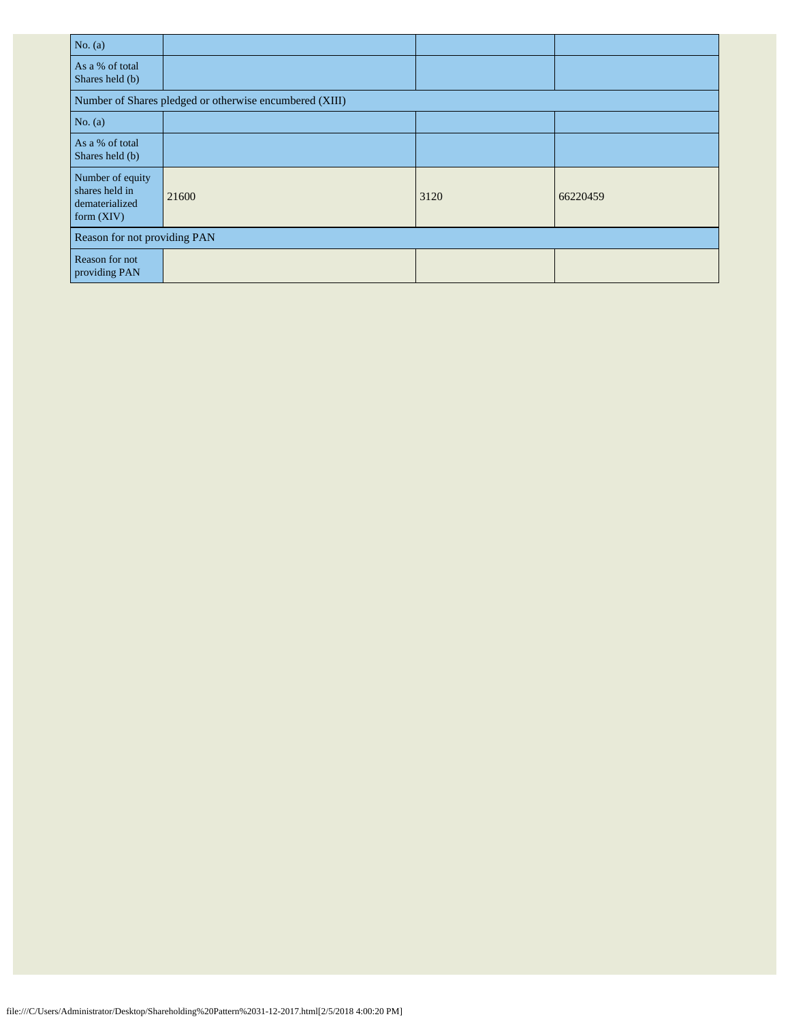| No. $(a)$                                                            |                                                         |      |          |
|----------------------------------------------------------------------|---------------------------------------------------------|------|----------|
| As a % of total<br>Shares held (b)                                   |                                                         |      |          |
|                                                                      | Number of Shares pledged or otherwise encumbered (XIII) |      |          |
| No. $(a)$                                                            |                                                         |      |          |
| As a % of total<br>Shares held (b)                                   |                                                         |      |          |
| Number of equity<br>shares held in<br>dematerialized<br>form $(XIV)$ | 21600                                                   | 3120 | 66220459 |
| Reason for not providing PAN                                         |                                                         |      |          |
| Reason for not<br>providing PAN                                      |                                                         |      |          |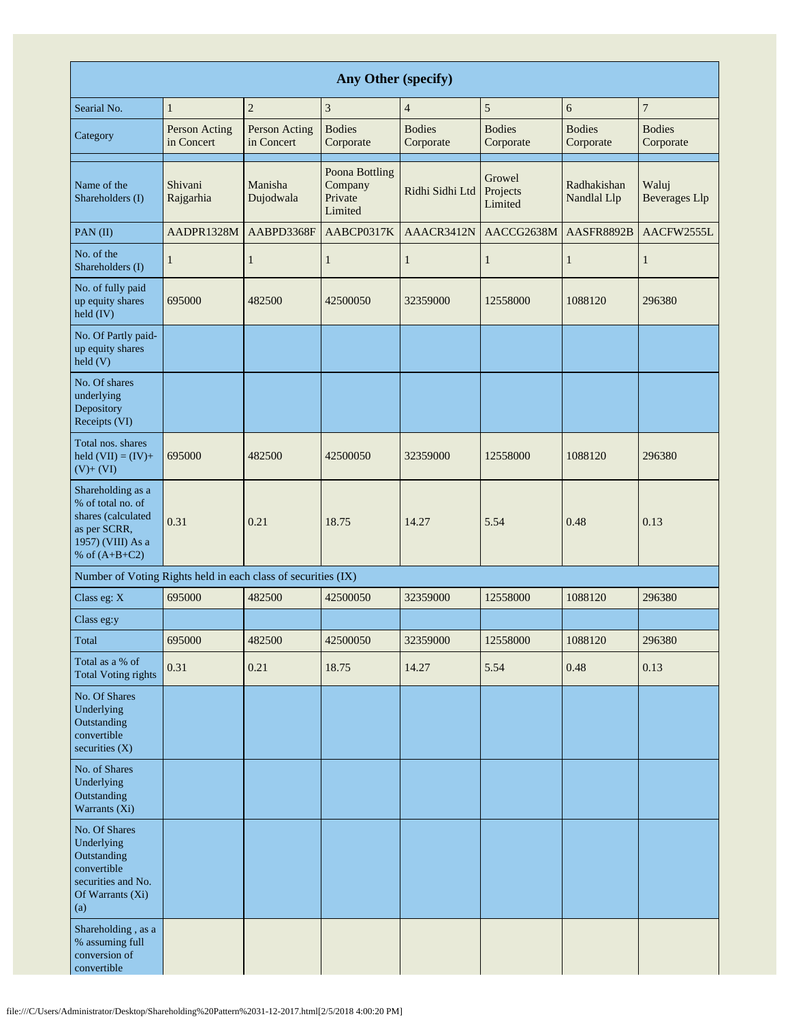|                                                                                                                      | Any Other (specify)         |                                    |                                                 |                            |                               |                            |                               |  |  |  |  |  |
|----------------------------------------------------------------------------------------------------------------------|-----------------------------|------------------------------------|-------------------------------------------------|----------------------------|-------------------------------|----------------------------|-------------------------------|--|--|--|--|--|
| Searial No.                                                                                                          | 1                           | $\overline{2}$                     | 3                                               | $\overline{4}$             | 5                             | 6                          | $\overline{7}$                |  |  |  |  |  |
| Category                                                                                                             | Person Acting<br>in Concert | <b>Person Acting</b><br>in Concert | <b>Bodies</b><br>Corporate                      | <b>Bodies</b><br>Corporate | <b>Bodies</b><br>Corporate    | <b>Bodies</b><br>Corporate | <b>Bodies</b><br>Corporate    |  |  |  |  |  |
| Name of the<br>Shareholders (I)                                                                                      | Shivani<br>Rajgarhia        | Manisha<br>Dujodwala               | Poona Bottling<br>Company<br>Private<br>Limited | Ridhi Sidhi Ltd            | Growel<br>Projects<br>Limited | Radhakishan<br>Nandlal Llp | Waluj<br><b>Beverages</b> Llp |  |  |  |  |  |
| PAN(II)                                                                                                              | AADPR1328M                  | AABPD3368F                         | AABCP0317K                                      | AAACR3412N                 | AACCG2638M                    | AASFR8892B                 | AACFW2555L                    |  |  |  |  |  |
| No. of the<br>Shareholders (I)                                                                                       | 1                           | $\mathbf{1}$                       | $\mathbf{1}$                                    | 1                          | $\mathbf{1}$                  | $\mathbf{1}$               | $\mathbf{1}$                  |  |  |  |  |  |
| No. of fully paid<br>up equity shares<br>held (IV)                                                                   | 695000                      | 482500                             | 42500050                                        | 32359000                   | 12558000                      | 1088120                    | 296380                        |  |  |  |  |  |
| No. Of Partly paid-<br>up equity shares<br>held (V)                                                                  |                             |                                    |                                                 |                            |                               |                            |                               |  |  |  |  |  |
| No. Of shares<br>underlying<br>Depository<br>Receipts (VI)                                                           |                             |                                    |                                                 |                            |                               |                            |                               |  |  |  |  |  |
| Total nos. shares<br>held $(VII) = (IV) +$<br>$(V)$ + $(VI)$                                                         | 695000                      | 482500                             | 42500050                                        | 32359000                   | 12558000                      | 1088120                    | 296380                        |  |  |  |  |  |
| Shareholding as a<br>% of total no. of<br>shares (calculated<br>as per SCRR,<br>1957) (VIII) As a<br>% of $(A+B+C2)$ | 0.31                        | 0.21                               | 18.75                                           | 14.27                      | 5.54                          | 0.48                       | 0.13                          |  |  |  |  |  |
| Number of Voting Rights held in each class of securities (IX)                                                        |                             |                                    |                                                 |                            |                               |                            |                               |  |  |  |  |  |
| Class eg: X                                                                                                          | 695000                      | 482500                             | 42500050                                        | 32359000                   | 12558000                      | 1088120                    | 296380                        |  |  |  |  |  |
| Class eg:y                                                                                                           |                             |                                    |                                                 |                            |                               |                            |                               |  |  |  |  |  |
| Total                                                                                                                | 695000                      | 482500                             | 42500050                                        | 32359000                   | 12558000                      | 1088120                    | 296380                        |  |  |  |  |  |
| Total as a % of<br><b>Total Voting rights</b>                                                                        | 0.31                        | 0.21                               | 18.75                                           | 14.27                      | 5.54                          | 0.48                       | 0.13                          |  |  |  |  |  |
| No. Of Shares<br>Underlying<br>Outstanding<br>convertible<br>securities (X)                                          |                             |                                    |                                                 |                            |                               |                            |                               |  |  |  |  |  |
| No. of Shares<br>Underlying<br>Outstanding<br>Warrants (Xi)                                                          |                             |                                    |                                                 |                            |                               |                            |                               |  |  |  |  |  |
| No. Of Shares<br>Underlying<br>Outstanding<br>convertible<br>securities and No.<br>Of Warrants (Xi)<br>(a)           |                             |                                    |                                                 |                            |                               |                            |                               |  |  |  |  |  |
| Shareholding, as a<br>% assuming full<br>conversion of<br>convertible                                                |                             |                                    |                                                 |                            |                               |                            |                               |  |  |  |  |  |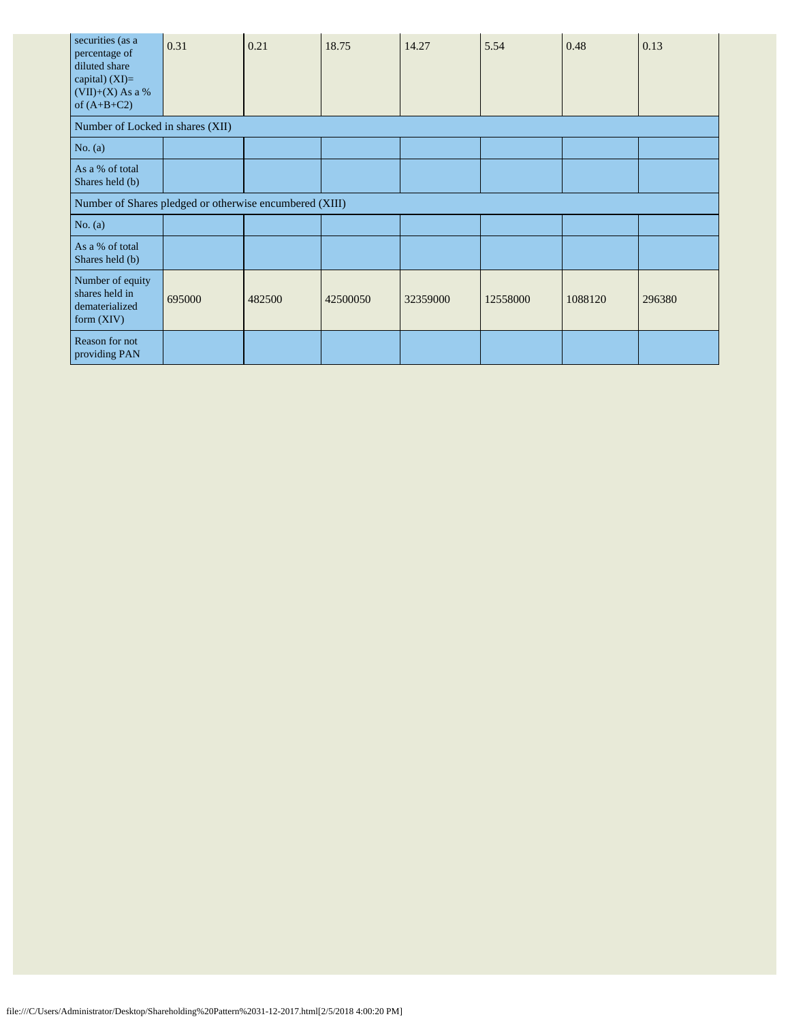| securities (as a<br>percentage of<br>diluted share<br>capital) $(XI)=$<br>$(VII)+(X)$ As a %<br>of $(A+B+C2)$ | 0.31                                                    | 0.21   | 18.75    | 14.27    | 5.54     | 0.48    | 0.13   |  |
|---------------------------------------------------------------------------------------------------------------|---------------------------------------------------------|--------|----------|----------|----------|---------|--------|--|
| Number of Locked in shares (XII)                                                                              |                                                         |        |          |          |          |         |        |  |
| No. (a)                                                                                                       |                                                         |        |          |          |          |         |        |  |
| As a % of total<br>Shares held (b)                                                                            |                                                         |        |          |          |          |         |        |  |
|                                                                                                               | Number of Shares pledged or otherwise encumbered (XIII) |        |          |          |          |         |        |  |
| No. $(a)$                                                                                                     |                                                         |        |          |          |          |         |        |  |
| As a % of total<br>Shares held (b)                                                                            |                                                         |        |          |          |          |         |        |  |
| Number of equity<br>shares held in<br>dematerialized<br>form $(XIV)$                                          | 695000                                                  | 482500 | 42500050 | 32359000 | 12558000 | 1088120 | 296380 |  |
| Reason for not<br>providing PAN                                                                               |                                                         |        |          |          |          |         |        |  |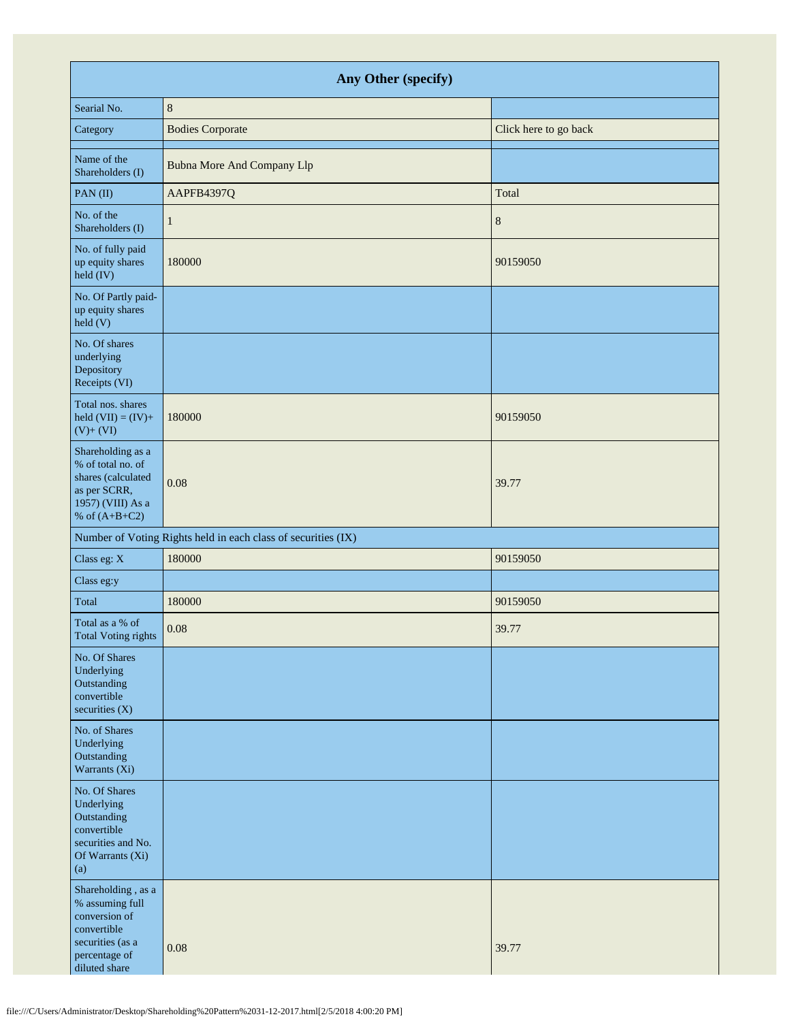| Any Other (specify)                                                                                                         |                                                               |                       |  |  |  |  |  |
|-----------------------------------------------------------------------------------------------------------------------------|---------------------------------------------------------------|-----------------------|--|--|--|--|--|
| Searial No.                                                                                                                 | $\,8\,$                                                       |                       |  |  |  |  |  |
| Category                                                                                                                    | <b>Bodies Corporate</b>                                       | Click here to go back |  |  |  |  |  |
| Name of the<br>Shareholders (I)                                                                                             | <b>Bubna More And Company Llp</b>                             |                       |  |  |  |  |  |
| PAN(II)                                                                                                                     | AAPFB4397Q                                                    | Total                 |  |  |  |  |  |
| No. of the<br>Shareholders (I)                                                                                              | $\mathbf{1}$                                                  | $\,8\,$               |  |  |  |  |  |
| No. of fully paid<br>up equity shares<br>held (IV)                                                                          | 180000                                                        | 90159050              |  |  |  |  |  |
| No. Of Partly paid-<br>up equity shares<br>$\text{held}$ (V)                                                                |                                                               |                       |  |  |  |  |  |
| No. Of shares<br>underlying<br>Depository<br>Receipts (VI)                                                                  |                                                               |                       |  |  |  |  |  |
| Total nos. shares<br>held $(VII) = (IV) +$<br>$(V) + (VI)$                                                                  | 180000                                                        | 90159050              |  |  |  |  |  |
| Shareholding as a<br>% of total no. of<br>shares (calculated<br>as per SCRR,<br>1957) (VIII) As a<br>% of $(A+B+C2)$        | 0.08                                                          | 39.77                 |  |  |  |  |  |
|                                                                                                                             | Number of Voting Rights held in each class of securities (IX) |                       |  |  |  |  |  |
| Class eg: X                                                                                                                 | 180000                                                        | 90159050              |  |  |  |  |  |
| Class eg:y                                                                                                                  |                                                               |                       |  |  |  |  |  |
| Total                                                                                                                       | 180000                                                        | 90159050              |  |  |  |  |  |
| Total as a % of<br>Total Voting rights                                                                                      | 0.08                                                          | 39.77                 |  |  |  |  |  |
| No. Of Shares<br>Underlying<br>Outstanding<br>convertible<br>securities $(X)$                                               |                                                               |                       |  |  |  |  |  |
| No. of Shares<br>Underlying<br>Outstanding<br>Warrants (Xi)                                                                 |                                                               |                       |  |  |  |  |  |
| No. Of Shares<br>Underlying<br>Outstanding<br>convertible<br>securities and No.<br>Of Warrants (Xi)<br>(a)                  |                                                               |                       |  |  |  |  |  |
| Shareholding, as a<br>% assuming full<br>conversion of<br>convertible<br>securities (as a<br>percentage of<br>diluted share | 0.08                                                          | 39.77                 |  |  |  |  |  |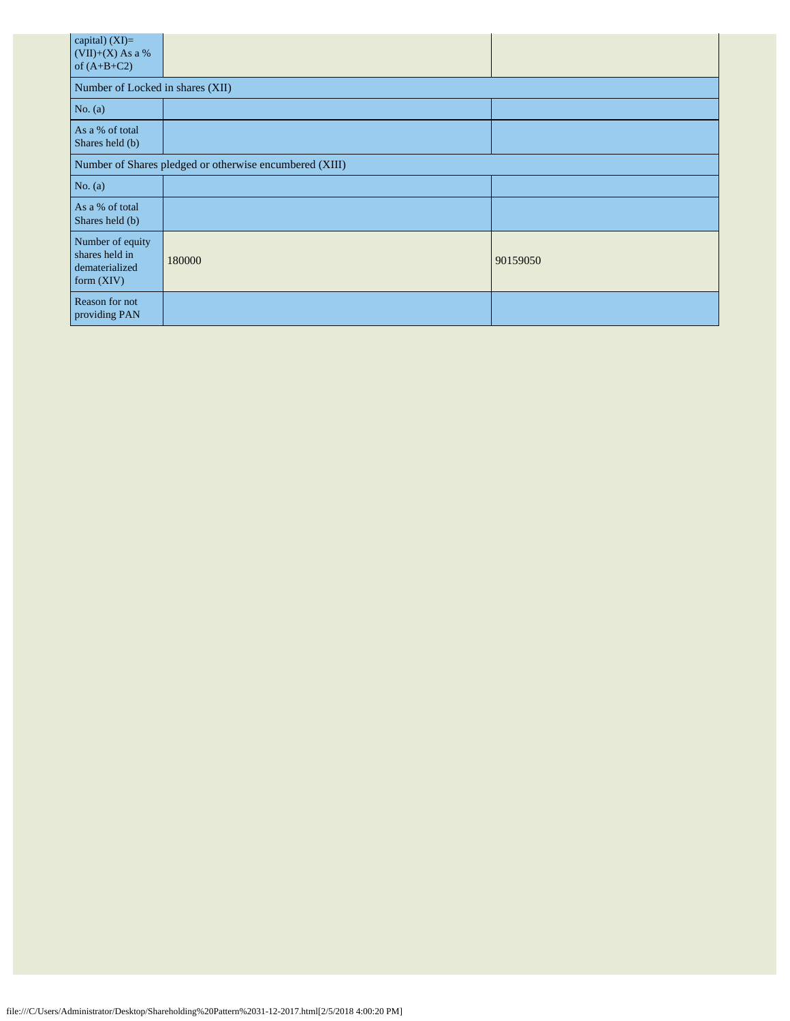| capital) (XI)=<br>$(VII)+(X)$ As a %<br>of $(A+B+C2)$                |                                  |          |  |  |  |  |  |  |
|----------------------------------------------------------------------|----------------------------------|----------|--|--|--|--|--|--|
|                                                                      | Number of Locked in shares (XII) |          |  |  |  |  |  |  |
| No. $(a)$                                                            |                                  |          |  |  |  |  |  |  |
| As a % of total<br>Shares held (b)                                   |                                  |          |  |  |  |  |  |  |
| Number of Shares pledged or otherwise encumbered (XIII)              |                                  |          |  |  |  |  |  |  |
| No. (a)                                                              |                                  |          |  |  |  |  |  |  |
| As a % of total<br>Shares held (b)                                   |                                  |          |  |  |  |  |  |  |
| Number of equity<br>shares held in<br>dematerialized<br>form $(XIV)$ | 180000                           | 90159050 |  |  |  |  |  |  |
| Reason for not<br>providing PAN                                      |                                  |          |  |  |  |  |  |  |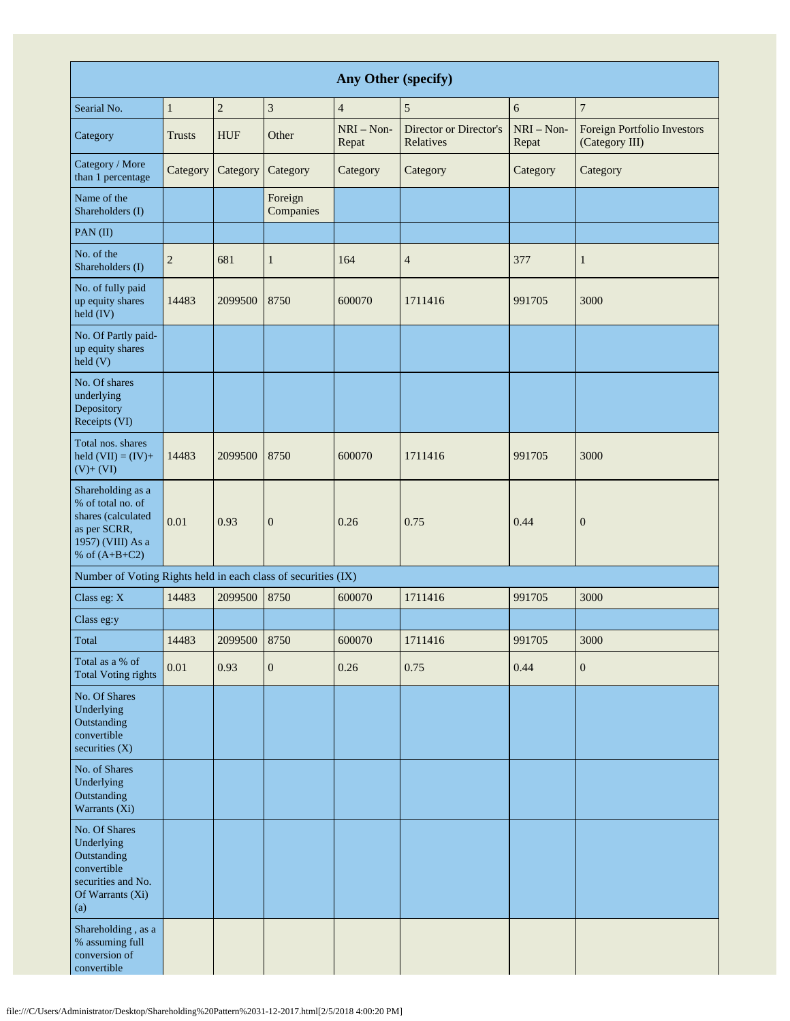| Any Other (specify)                                                                                                  |                |            |                      |                       |                                     |                       |                                               |
|----------------------------------------------------------------------------------------------------------------------|----------------|------------|----------------------|-----------------------|-------------------------------------|-----------------------|-----------------------------------------------|
| Searial No.                                                                                                          | $\mathbf{1}$   | $\sqrt{2}$ | 3                    | $\overline{4}$        | 5                                   | 6                     | $\sqrt{ }$                                    |
| Category                                                                                                             | <b>Trusts</b>  | <b>HUF</b> | Other                | $NRI - Non-$<br>Repat | Director or Director's<br>Relatives | $NRI - Non-$<br>Repat | Foreign Portfolio Investors<br>(Category III) |
| Category / More<br>than 1 percentage                                                                                 | Category       | Category   | Category             | Category              | Category                            | Category              | Category                                      |
| Name of the<br>Shareholders (I)                                                                                      |                |            | Foreign<br>Companies |                       |                                     |                       |                                               |
| PAN(II)                                                                                                              |                |            |                      |                       |                                     |                       |                                               |
| No. of the<br>Shareholders (I)                                                                                       | $\overline{2}$ | 681        | $\mathbf{1}$         | 164                   | $\overline{4}$                      | 377                   | 1                                             |
| No. of fully paid<br>up equity shares<br>held (IV)                                                                   | 14483          | 2099500    | 8750                 | 600070                | 1711416                             | 991705                | 3000                                          |
| No. Of Partly paid-<br>up equity shares<br>$\text{held}$ (V)                                                         |                |            |                      |                       |                                     |                       |                                               |
| No. Of shares<br>underlying<br>Depository<br>Receipts (VI)                                                           |                |            |                      |                       |                                     |                       |                                               |
| Total nos. shares<br>held $(VII) = (IV) +$<br>$(V)+(VI)$                                                             | 14483          | 2099500    | 8750                 | 600070                | 1711416                             | 991705                | 3000                                          |
| Shareholding as a<br>% of total no. of<br>shares (calculated<br>as per SCRR,<br>1957) (VIII) As a<br>% of $(A+B+C2)$ | 0.01           | 0.93       | $\boldsymbol{0}$     | 0.26                  | 0.75                                | 0.44                  | $\mathbf{0}$                                  |
| Number of Voting Rights held in each class of securities (IX)                                                        |                |            |                      |                       |                                     |                       |                                               |
| Class eg: X                                                                                                          | 14483          | 2099500    | 8750                 | 600070                | 1711416                             | 991705                | 3000                                          |
| Class eg:y                                                                                                           |                |            |                      |                       |                                     |                       |                                               |
| Total                                                                                                                | 14483          | 2099500    | 8750                 | 600070                | 1711416                             | 991705                | 3000                                          |
| Total as a % of<br><b>Total Voting rights</b>                                                                        | $0.01\,$       | 0.93       | $\boldsymbol{0}$     | 0.26                  | 0.75                                | 0.44                  | $\boldsymbol{0}$                              |
| No. Of Shares<br>Underlying<br>Outstanding<br>convertible<br>securities (X)                                          |                |            |                      |                       |                                     |                       |                                               |
| No. of Shares<br>Underlying<br>Outstanding<br>Warrants (Xi)                                                          |                |            |                      |                       |                                     |                       |                                               |
| No. Of Shares<br>Underlying<br>Outstanding<br>convertible<br>securities and No.<br>Of Warrants (Xi)<br>(a)           |                |            |                      |                       |                                     |                       |                                               |
| Shareholding, as a<br>% assuming full<br>conversion of<br>convertible                                                |                |            |                      |                       |                                     |                       |                                               |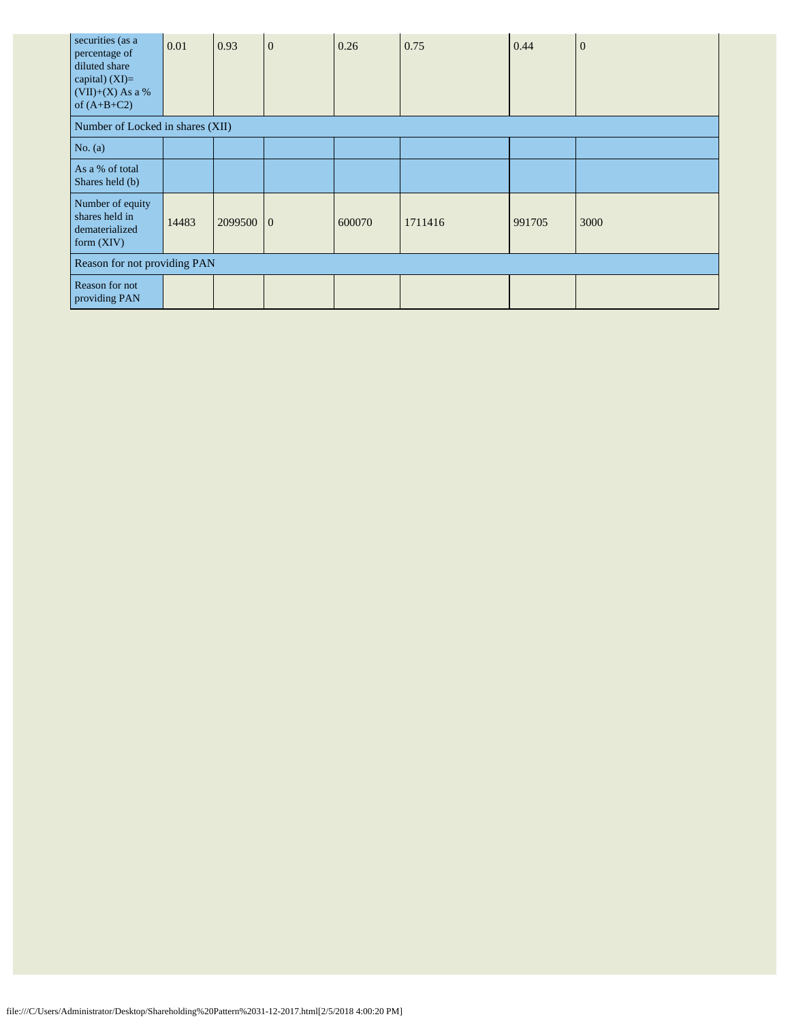| securities (as a<br>percentage of<br>diluted share<br>capital) (XI)=<br>$(VII)+(X)$ As a %<br>of $(A+B+C2)$ | 0.01  | 0.93    | $\mathbf{0}$ | 0.26   | 0.75    | 0.44   | $\overline{0}$ |
|-------------------------------------------------------------------------------------------------------------|-------|---------|--------------|--------|---------|--------|----------------|
| Number of Locked in shares (XII)                                                                            |       |         |              |        |         |        |                |
| No. $(a)$                                                                                                   |       |         |              |        |         |        |                |
| As a % of total<br>Shares held (b)                                                                          |       |         |              |        |         |        |                |
| Number of equity<br>shares held in<br>dematerialized<br>form $(XIV)$                                        | 14483 | 2099500 | $\Omega$     | 600070 | 1711416 | 991705 | 3000           |
| Reason for not providing PAN                                                                                |       |         |              |        |         |        |                |
| Reason for not<br>providing PAN                                                                             |       |         |              |        |         |        |                |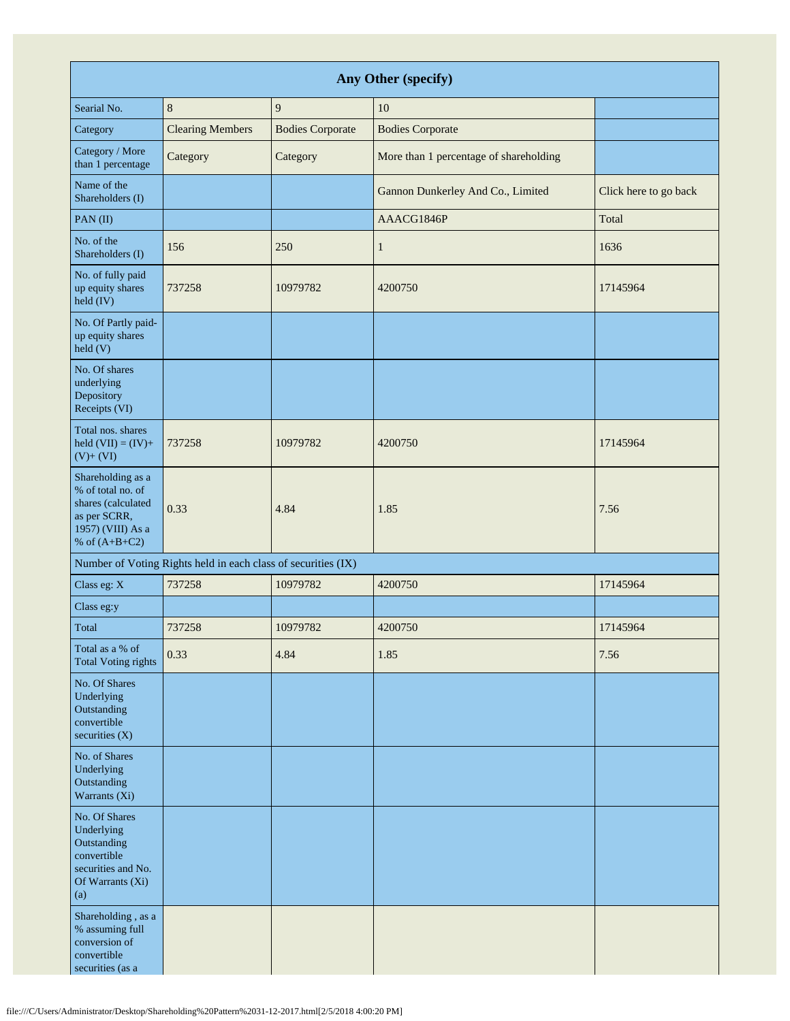| Any Other (specify)                                                                                                  |                                                               |                         |                                        |                       |  |  |  |
|----------------------------------------------------------------------------------------------------------------------|---------------------------------------------------------------|-------------------------|----------------------------------------|-----------------------|--|--|--|
| Searial No.                                                                                                          | $\,8\,$                                                       | $\overline{9}$          | 10                                     |                       |  |  |  |
| Category                                                                                                             | <b>Clearing Members</b>                                       | <b>Bodies Corporate</b> | <b>Bodies Corporate</b>                |                       |  |  |  |
| Category / More<br>than 1 percentage                                                                                 | Category                                                      | Category                | More than 1 percentage of shareholding |                       |  |  |  |
| Name of the<br>Shareholders (I)                                                                                      |                                                               |                         | Gannon Dunkerley And Co., Limited      | Click here to go back |  |  |  |
| PAN(II)                                                                                                              |                                                               |                         | AAACG1846P                             | Total                 |  |  |  |
| No. of the<br>Shareholders (I)                                                                                       | 156                                                           | 250                     | $\mathbf{1}$                           | 1636                  |  |  |  |
| No. of fully paid<br>up equity shares<br>held (IV)                                                                   | 737258                                                        | 10979782                | 4200750                                | 17145964              |  |  |  |
| No. Of Partly paid-<br>up equity shares<br>held (V)                                                                  |                                                               |                         |                                        |                       |  |  |  |
| No. Of shares<br>underlying<br>Depository<br>Receipts (VI)                                                           |                                                               |                         |                                        |                       |  |  |  |
| Total nos. shares<br>held $(VII) = (IV) +$<br>$(V)+(VI)$                                                             | 737258                                                        | 10979782                | 4200750                                | 17145964              |  |  |  |
| Shareholding as a<br>% of total no. of<br>shares (calculated<br>as per SCRR,<br>1957) (VIII) As a<br>% of $(A+B+C2)$ | 0.33                                                          | 4.84                    | 1.85                                   | 7.56                  |  |  |  |
|                                                                                                                      | Number of Voting Rights held in each class of securities (IX) |                         |                                        |                       |  |  |  |
| Class eg: X                                                                                                          | 737258                                                        | 10979782                | 4200750                                | 17145964              |  |  |  |
| Class eg:y                                                                                                           |                                                               |                         |                                        |                       |  |  |  |
| Total                                                                                                                | 737258                                                        | 10979782                | 4200750                                | 17145964              |  |  |  |
| Total as a % of<br><b>Total Voting rights</b>                                                                        | 0.33                                                          | 4.84                    | 1.85                                   | 7.56                  |  |  |  |
| No. Of Shares<br>Underlying<br>Outstanding<br>convertible<br>securities (X)                                          |                                                               |                         |                                        |                       |  |  |  |
| No. of Shares<br>Underlying<br>Outstanding<br>Warrants (Xi)                                                          |                                                               |                         |                                        |                       |  |  |  |
| No. Of Shares<br>Underlying<br>Outstanding<br>convertible<br>securities and No.<br>Of Warrants (Xi)<br>(a)           |                                                               |                         |                                        |                       |  |  |  |
| Shareholding, as a<br>% assuming full<br>conversion of<br>convertible<br>securities (as a                            |                                                               |                         |                                        |                       |  |  |  |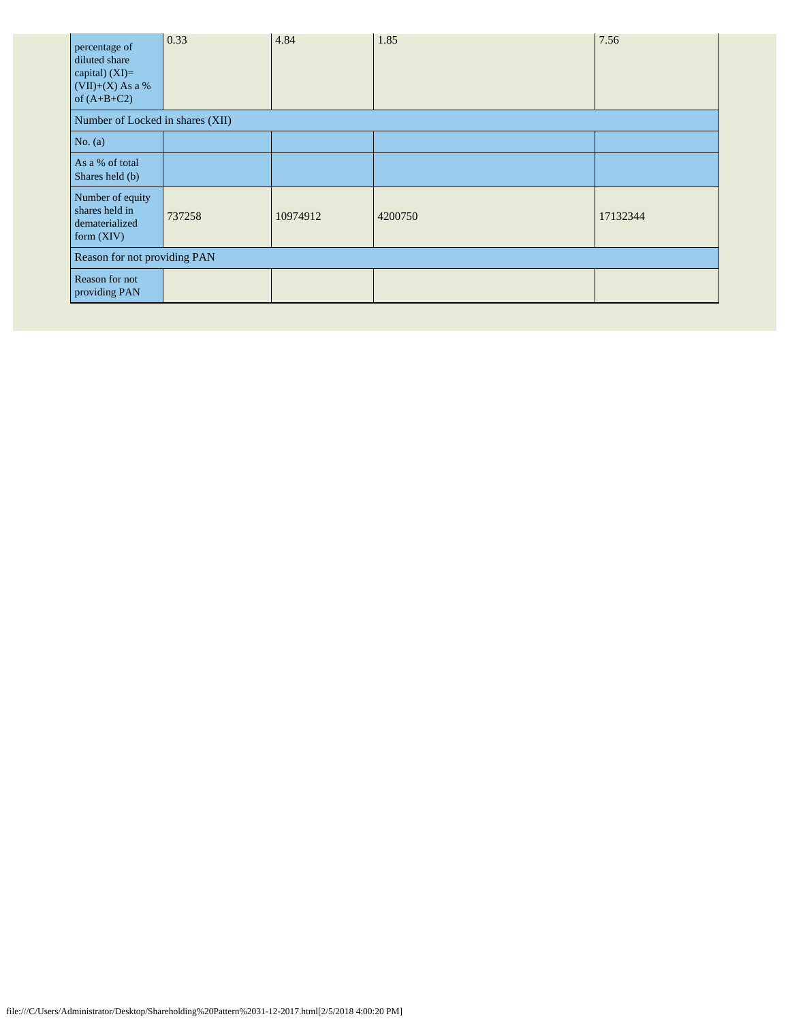| percentage of<br>diluted share<br>capital) (XI)=<br>$(VII)+(X)$ As a %<br>of $(A+B+C2)$ | 0.33   | 4.84     | 1.85    | 7.56     |  |  |
|-----------------------------------------------------------------------------------------|--------|----------|---------|----------|--|--|
| Number of Locked in shares (XII)                                                        |        |          |         |          |  |  |
| No. $(a)$                                                                               |        |          |         |          |  |  |
| As a % of total<br>Shares held (b)                                                      |        |          |         |          |  |  |
| Number of equity<br>shares held in<br>dematerialized<br>form $(XIV)$                    | 737258 | 10974912 | 4200750 | 17132344 |  |  |
| Reason for not providing PAN                                                            |        |          |         |          |  |  |
| Reason for not<br>providing PAN                                                         |        |          |         |          |  |  |